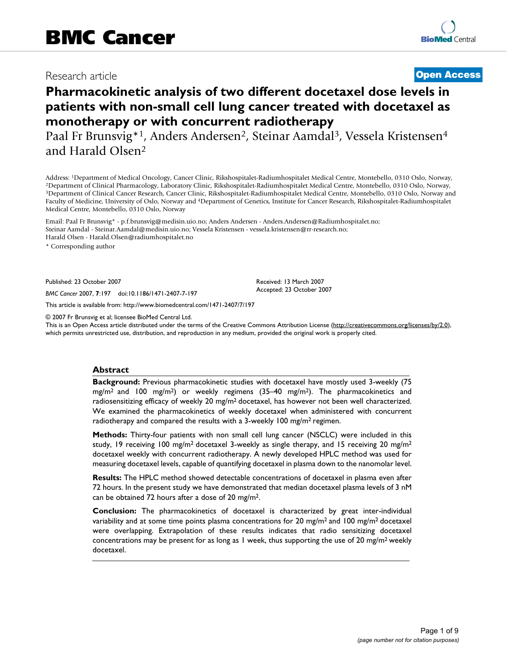# Research article **[Open Access](http://www.biomedcentral.com/info/about/charter/)**

# **Pharmacokinetic analysis of two different docetaxel dose levels in patients with non-small cell lung cancer treated with docetaxel as monotherapy or with concurrent radiotherapy**

Paal Fr Brunsvig\*<sup>1</sup>, Anders Andersen<sup>2</sup>, Steinar Aamdal<sup>3</sup>, Vessela Kristensen<sup>4</sup> and Harald Olsen2

Address: <sup>1</sup>Department of Medical Oncology, Cancer Clinic, Rikshospitalet-Radiumhospitalet Medical Centre, Montebello, 0310 Oslo, Norway, <sup>2</sup>Department of Clinical Pharmacology, Laboratory Clinic, Rikshospitalet-Radiumhosp Faculty of Medicine, University of Oslo, Norway and 4Department of Genetics, Institute for Cancer Research, Rikshospitalet-Radiumhospitalet Medical Centre, Montebello, 0310 Oslo, Norway

Email: Paal Fr Brunsvig\* - p.f.brunsvig@medisin.uio.no; Anders Andersen - Anders.Andersen@Radiumhospitalet.no; Steinar Aamdal - Steinar.Aamdal@medisin.uio.no; Vessela Kristensen - vessela.kristensen@rr-research.no; Harald Olsen - Harald.Olsen@radiumhospitalet.no

\* Corresponding author

Published: 23 October 2007

*BMC Cancer* 2007, **7**:197 doi:10.1186/1471-2407-7-197

[This article is available from: http://www.biomedcentral.com/1471-2407/7/197](http://www.biomedcentral.com/1471-2407/7/197)

© 2007 Fr Brunsvig et al; licensee BioMed Central Ltd.

This is an Open Access article distributed under the terms of the Creative Commons Attribution License [\(http://creativecommons.org/licenses/by/2.0\)](http://creativecommons.org/licenses/by/2.0), which permits unrestricted use, distribution, and reproduction in any medium, provided the original work is properly cited.

Received: 13 March 2007 Accepted: 23 October 2007

#### **Abstract**

**Background:** Previous pharmacokinetic studies with docetaxel have mostly used 3-weekly (75 mg/m2 and 100 mg/m2) or weekly regimens (35–40 mg/m2). The pharmacokinetics and radiosensitizing efficacy of weekly 20 mg/m2 docetaxel, has however not been well characterized. We examined the pharmacokinetics of weekly docetaxel when administered with concurrent radiotherapy and compared the results with a 3-weekly 100 mg/m<sup>2</sup> regimen.

**Methods:** Thirty-four patients with non small cell lung cancer (NSCLC) were included in this study, 19 receiving 100 mg/m<sup>2</sup> docetaxel 3-weekly as single therapy, and 15 receiving 20 mg/m<sup>2</sup> docetaxel weekly with concurrent radiotherapy. A newly developed HPLC method was used for measuring docetaxel levels, capable of quantifying docetaxel in plasma down to the nanomolar level.

**Results:** The HPLC method showed detectable concentrations of docetaxel in plasma even after 72 hours. In the present study we have demonstrated that median docetaxel plasma levels of 3 nM can be obtained 72 hours after a dose of 20 mg/m2.

**Conclusion:** The pharmacokinetics of docetaxel is characterized by great inter-individual variability and at some time points plasma concentrations for 20 mg/m<sup>2</sup> and 100 mg/m<sup>2</sup> docetaxel were overlapping. Extrapolation of these results indicates that radio sensitizing docetaxel concentrations may be present for as long as 1 week, thus supporting the use of 20 mg/m<sup>2</sup> weekly docetaxel.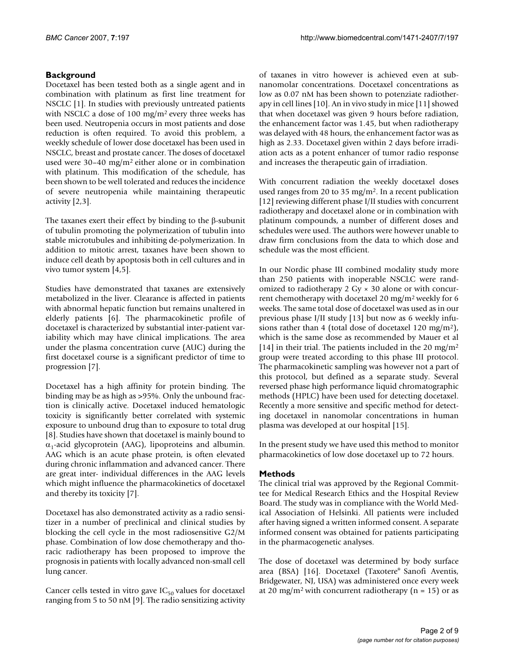# **Background**

Docetaxel has been tested both as a single agent and in combination with platinum as first line treatment for NSCLC [1]. In studies with previously untreated patients with NSCLC a dose of 100 mg/m2 every three weeks has been used. Neutropenia occurs in most patients and dose reduction is often required. To avoid this problem, a weekly schedule of lower dose docetaxel has been used in NSCLC, breast and prostate cancer. The doses of docetaxel used were 30–40 mg/m2 either alone or in combination with platinum. This modification of the schedule, has been shown to be well tolerated and reduces the incidence of severe neutropenia while maintaining therapeutic activity [2,3].

The taxanes exert their effect by binding to the β-subunit of tubulin promoting the polymerization of tubulin into stable microtubules and inhibiting de-polymerization. In addition to mitotic arrest, taxanes have been shown to induce cell death by apoptosis both in cell cultures and in vivo tumor system [4,5].

Studies have demonstrated that taxanes are extensively metabolized in the liver. Clearance is affected in patients with abnormal hepatic function but remains unaltered in elderly patients [6]. The pharmacokinetic profile of docetaxel is characterized by substantial inter-patient variability which may have clinical implications. The area under the plasma concentration curve (AUC) during the first docetaxel course is a significant predictor of time to progression [7].

Docetaxel has a high affinity for protein binding. The binding may be as high as >95%. Only the unbound fraction is clinically active. Docetaxel induced hematologic toxicity is significantly better correlated with systemic exposure to unbound drug than to exposure to total drug [8]. Studies have shown that docetaxel is mainly bound to  $\alpha_1$ -acid glycoprotein (AAG), lipoproteins and albumin. AAG which is an acute phase protein, is often elevated during chronic inflammation and advanced cancer. There are great inter- individual differences in the AAG levels which might influence the pharmacokinetics of docetaxel and thereby its toxicity [7].

Docetaxel has also demonstrated activity as a radio sensitizer in a number of preclinical and clinical studies by blocking the cell cycle in the most radiosensitive G2/M phase. Combination of low dose chemotherapy and thoracic radiotherapy has been proposed to improve the prognosis in patients with locally advanced non-small cell lung cancer.

Cancer cells tested in vitro gave  $IC_{50}$  values for docetaxel ranging from 5 to 50 nM [9]. The radio sensitizing activity of taxanes in vitro however is achieved even at subnanomolar concentrations. Docetaxel concentrations as low as 0.07 nM has been shown to potenziate radiotherapy in cell lines [10]. An in vivo study in mice [11] showed that when docetaxel was given 9 hours before radiation, the enhancement factor was 1.45, but when radiotherapy was delayed with 48 hours, the enhancement factor was as high as 2.33. Docetaxel given within 2 days before irradiation acts as a potent enhancer of tumor radio response and increases the therapeutic gain of irradiation.

With concurrent radiation the weekly docetaxel doses used ranges from 20 to 35 mg/m2. In a recent publication [12] reviewing different phase I/II studies with concurrent radiotherapy and docetaxel alone or in combination with platinum compounds, a number of different doses and schedules were used. The authors were however unable to draw firm conclusions from the data to which dose and schedule was the most efficient.

In our Nordic phase III combined modality study more than 250 patients with inoperable NSCLC were randomized to radiotherapy 2 Gy  $\times$  30 alone or with concurrent chemotherapy with docetaxel 20 mg/m2 weekly for 6 weeks. The same total dose of docetaxel was used as in our previous phase I/II study [13] but now as 6 weekly infusions rather than 4 (total dose of docetaxel 120 mg/m<sup>2</sup>), which is the same dose as recommended by Mauer et al [14] in their trial. The patients included in the 20 mg/m<sup>2</sup> group were treated according to this phase III protocol. The pharmacokinetic sampling was however not a part of this protocol, but defined as a separate study. Several reversed phase high performance liquid chromatographic methods (HPLC) have been used for detecting docetaxel. Recently a more sensitive and specific method for detecting docetaxel in nanomolar concentrations in human plasma was developed at our hospital [15].

In the present study we have used this method to monitor pharmacokinetics of low dose docetaxel up to 72 hours.

# **Methods**

The clinical trial was approved by the Regional Committee for Medical Research Ethics and the Hospital Review Board. The study was in compliance with the World Medical Association of Helsinki. All patients were included after having signed a written informed consent. A separate informed consent was obtained for patients participating in the pharmacogenetic analyses.

The dose of docetaxel was determined by body surface area (BSA) [16]. Docetaxel (Taxotere® Sanofi Aventis, Bridgewater, NJ, USA) was administered once every week at 20 mg/m<sup>2</sup> with concurrent radiotherapy ( $n = 15$ ) or as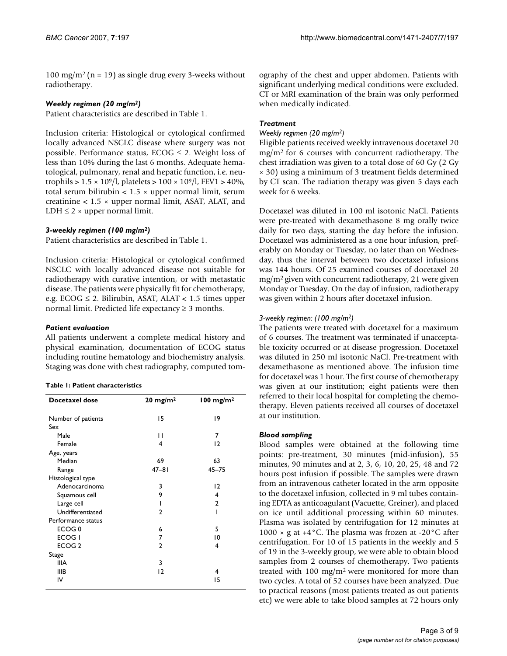100 mg/m<sup>2</sup> (n = 19) as single drug every 3-weeks without radiotherapy.

### *Weekly regimen (20 mg/m2)*

Patient characteristics are described in Table 1.

Inclusion criteria: Histological or cytological confirmed locally advanced NSCLC disease where surgery was not possible. Performance status,  $ECOG \leq 2$ . Weight loss of less than 10% during the last 6 months. Adequate hematological, pulmonary, renal and hepatic function, i.e. neutrophils >  $1.5 \times 10^9 / l$ , platelets >  $100 \times 10^9 / l$ , FEV1 >  $40\%$ , total serum bilirubin  $< 1.5 \times$  upper normal limit, serum creatinine  $< 1.5 \times$  upper normal limit, ASAT, ALAT, and LDH  $\leq$  2  $\times$  upper normal limit.

# *3-weekly regimen (100 mg/m2)*

Patient characteristics are described in Table 1.

Inclusion criteria: Histological or cytological confirmed NSCLC with locally advanced disease not suitable for radiotherapy with curative intention, or with metastatic disease. The patients were physically fit for chemotherapy, e.g.  $ECOG \leq 2$ . Bilirubin, ASAT, ALAT < 1.5 times upper normal limit. Predicted life expectancy  $\geq$  3 months.

### *Patient evaluation*

All patients underwent a complete medical history and physical examination, documentation of ECOG status including routine hematology and biochemistry analysis. Staging was done with chest radiography, computed tom-

|  |  |  |  | Table 1: Patient characteristics |
|--|--|--|--|----------------------------------|
|--|--|--|--|----------------------------------|

| Docetaxel dose     | $20 \text{ mg/m}^2$ | $100$ mg/m <sup>2</sup> |
|--------------------|---------------------|-------------------------|
| Number of patients | 15                  | 19                      |
| Sex                |                     |                         |
| Male               | П                   | 7                       |
| Female             | 4                   | $\overline{2}$          |
| Age, years         |                     |                         |
| Median             | 69                  | 63                      |
| Range              | $47 - 81$           | $45 - 75$               |
| Histological type  |                     |                         |
| Adenocarcinoma     | 3                   | $\overline{2}$          |
| Squamous cell      | 9                   | 4                       |
| Large cell         | ı                   | $\overline{2}$          |
| Undifferentiated   | $\overline{2}$      | ı                       |
| Performance status |                     |                         |
| ECOG <sub>0</sub>  | 6                   | 5                       |
| ECOG I             | 7                   | 10                      |
| ECOG <sub>2</sub>  | $\overline{2}$      | 4                       |
| Stage              |                     |                         |
| <b>IIIA</b>        | 3                   |                         |
| IIIB               | $\overline{2}$      | 4                       |
| IV                 |                     | 15                      |

ography of the chest and upper abdomen. Patients with significant underlying medical conditions were excluded. CT or MRI examination of the brain was only performed when medically indicated.

# *Treatment*

#### *Weekly regimen (20 mg/m2)*

Eligible patients received weekly intravenous docetaxel 20 mg/m2 for 6 courses with concurrent radiotherapy. The chest irradiation was given to a total dose of 60 Gy (2 Gy × 30) using a minimum of 3 treatment fields determined by CT scan. The radiation therapy was given 5 days each week for 6 weeks.

Docetaxel was diluted in 100 ml isotonic NaCl. Patients were pre-treated with dexamethasone 8 mg orally twice daily for two days, starting the day before the infusion. Docetaxel was administered as a one hour infusion, preferably on Monday or Tuesday, no later than on Wednesday, thus the interval between two docetaxel infusions was 144 hours. Of 25 examined courses of docetaxel 20 mg/m2 given with concurrent radiotherapy, 21 were given Monday or Tuesday. On the day of infusion, radiotherapy was given within 2 hours after docetaxel infusion.

# *3-weekly regimen: (100 mg/m2)*

The patients were treated with docetaxel for a maximum of 6 courses. The treatment was terminated if unacceptable toxicity occurred or at disease progression. Docetaxel was diluted in 250 ml isotonic NaCl. Pre-treatment with dexamethasone as mentioned above. The infusion time for docetaxel was 1 hour. The first course of chemotherapy was given at our institution; eight patients were then referred to their local hospital for completing the chemotherapy. Eleven patients received all courses of docetaxel at our institution.

# *Blood sampling*

Blood samples were obtained at the following time points: pre-treatment, 30 minutes (mid-infusion), 55 minutes, 90 minutes and at 2, 3, 6, 10, 20, 25, 48 and 72 hours post infusion if possible. The samples were drawn from an intravenous catheter located in the arm opposite to the docetaxel infusion, collected in 9 ml tubes containing EDTA as anticoagulant (Vacuette, Greiner), and placed on ice until additional processing within 60 minutes. Plasma was isolated by centrifugation for 12 minutes at 1000  $\times$  g at +4 $\degree$ C. The plasma was frozen at -20 $\degree$ C after centrifugation. For 10 of 15 patients in the weekly and 5 of 19 in the 3-weekly group, we were able to obtain blood samples from 2 courses of chemotherapy. Two patients treated with 100 mg/m2 were monitored for more than two cycles. A total of 52 courses have been analyzed. Due to practical reasons (most patients treated as out patients etc) we were able to take blood samples at 72 hours only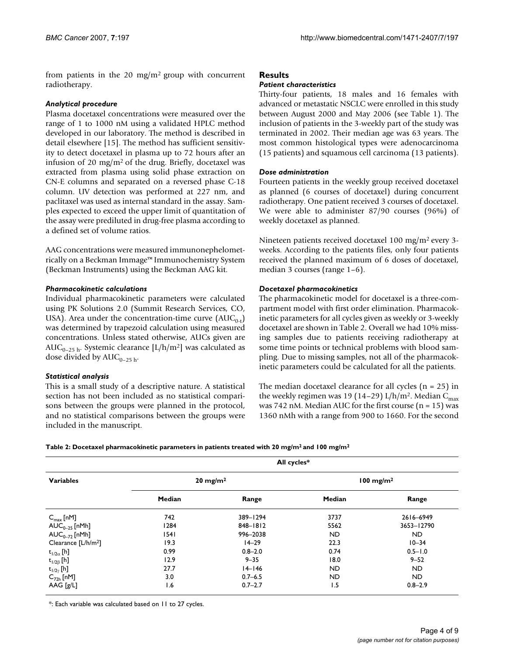from patients in the 20 mg/m2 group with concurrent radiotherapy.

#### *Analytical procedure*

Plasma docetaxel concentrations were measured over the range of 1 to 1000 nM using a validated HPLC method developed in our laboratory. The method is described in detail elsewhere [15]. The method has sufficient sensitivity to detect docetaxel in plasma up to 72 hours after an infusion of 20 mg/m2 of the drug. Briefly, docetaxel was extracted from plasma using solid phase extraction on CN-E columns and separated on a reversed phase C-18 column. UV detection was performed at 227 nm, and paclitaxel was used as internal standard in the assay. Samples expected to exceed the upper limit of quantitation of the assay were prediluted in drug-free plasma according to a defined set of volume ratios.

AAG concentrations were measured immunonephelometrically on a Beckman Immage™ Immunochemistry System (Beckman Instruments) using the Beckman AAG kit.

#### *Pharmacokinetic calculations*

Individual pharmacokinetic parameters were calculated using PK Solutions 2.0 (Summit Research Services, CO, USA). Area under the concentration-time curve  $(AUC_{0-t})$ was determined by trapezoid calculation using measured concentrations. Unless stated otherwise, AUCs given are AUC<sub>0–25 h</sub>. Systemic clearance [L/h/m<sup>2</sup>] was calculated as dose divided by  $AUC_{0-25h}$ .

# *Statistical analysis*

This is a small study of a descriptive nature. A statistical section has not been included as no statistical comparisons between the groups were planned in the protocol, and no statistical comparisons between the groups were included in the manuscript.

### **Results**

#### *Patient characteristics*

Thirty-four patients, 18 males and 16 females with advanced or metastatic NSCLC were enrolled in this study between August 2000 and May 2006 (see Table 1). The inclusion of patients in the 3-weekly part of the study was terminated in 2002. Their median age was 63 years. The most common histological types were adenocarcinoma (15 patients) and squamous cell carcinoma (13 patients).

#### *Dose administration*

Fourteen patients in the weekly group received docetaxel as planned (6 courses of docetaxel) during concurrent radiotherapy. One patient received 3 courses of docetaxel. We were able to administer 87/90 courses (96%) of weekly docetaxel as planned.

Nineteen patients received docetaxel 100 mg/m2 every 3 weeks. According to the patients files, only four patients received the planned maximum of 6 doses of docetaxel, median 3 courses (range 1–6).

#### *Docetaxel pharmacokinetics*

The pharmacokinetic model for docetaxel is a three-compartment model with first order elimination. Pharmacokinetic parameters for all cycles given as weekly or 3-weekly docetaxel are shown in Table 2. Overall we had 10% missing samples due to patients receiving radiotherapy at some time points or technical problems with blood sampling. Due to missing samples, not all of the pharmacokinetic parameters could be calculated for all the patients.

The median docetaxel clearance for all cycles  $(n = 25)$  in the weekly regimen was 19 (14–29) L/h/m<sup>2</sup>. Median C<sub>max</sub> was 742 nM. Median AUC for the first course  $(n = 15)$  was 1360 nMh with a range from 900 to 1660. For the second

|  | Table 2: Docetaxel pharmacokinetic parameters in patients treated with 20 mg/m <sup>2</sup> and 100 mg/m <sup>2</sup> |  |  |  |
|--|-----------------------------------------------------------------------------------------------------------------------|--|--|--|
|--|-----------------------------------------------------------------------------------------------------------------------|--|--|--|

| <b>Variables</b>                | All cycles*         |              |                         |             |
|---------------------------------|---------------------|--------------|-------------------------|-------------|
|                                 | $20 \text{ mg/m}^2$ |              | $100$ mg/m <sup>2</sup> |             |
|                                 | Median              | Range        | Median                  | Range       |
| $C_{\text{max}}$ [nM]           | 742                 | 389-1294     | 3737                    | 2616-6949   |
| $AUC_{0-25}$ [nMh]              | 1284                | $848 - 1812$ | 5562                    | 3653-12790  |
| $AUC_{0-72}$ [nMh]              | 1541                | 996-2038     | <b>ND</b>               | <b>ND</b>   |
| Clearance [L/h/m <sup>2</sup> ] | 19.3                | $14 - 29$    | 22.3                    | $10 - 34$   |
| $t_{1/2\alpha}$ [h]             | 0.99                | $0.8 - 2.0$  | 0.74                    | $0.5 - 1.0$ |
| $t_{1/2\beta}$ [h]              | 12.9                | $9 - 35$     | 18.0                    | $9 - 52$    |
| $t_{1/2\gamma}$ [h]             | 27.7                | $14 - 146$   | <b>ND</b>               | ND.         |
| $C_{72h}$ [nM]                  | 3.0                 | $0.7 - 6.5$  | <b>ND</b>               | ND.         |
| AAG [g/L]                       | 1.6                 | $0.7 - 2.7$  | 1.5                     | $0.8 - 2.9$ |

\*: Each variable was calculated based on 11 to 27 cycles.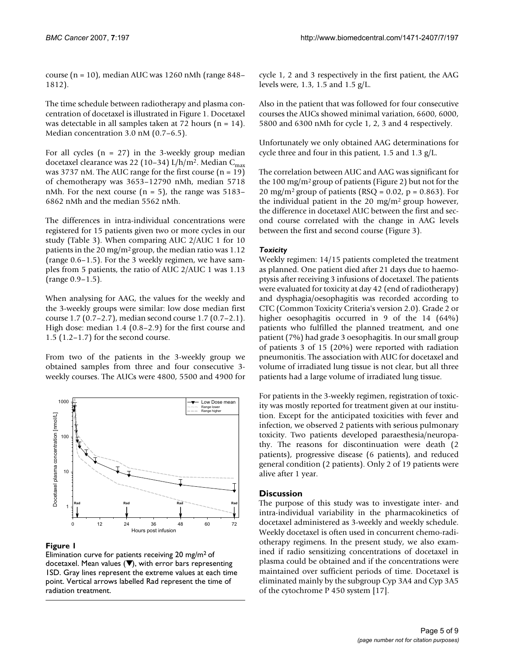course (n = 10), median AUC was 1260 nMh (range 848– 1812).

The time schedule between radiotherapy and plasma concentration of docetaxel is illustrated in Figure 1. Docetaxel was detectable in all samples taken at 72 hours ( $n = 14$ ). Median concentration 3.0 nM (0.7–6.5).

For all cycles  $(n = 27)$  in the 3-weekly group median docetaxel clearance was 22 (10-34) L/h/m<sup>2</sup>. Median C<sub>max</sub> was 3737 nM. The AUC range for the first course  $(n = 19)$ of chemotherapy was 3653–12790 nMh, median 5718 nMh. For the next course  $(n = 5)$ , the range was 5183– 6862 nMh and the median 5562 nMh.

The differences in intra-individual concentrations were registered for 15 patients given two or more cycles in our study (Table 3). When comparing AUC 2/AUC 1 for 10 patients in the 20 mg/m2 group, the median ratio was 1.12 (range 0.6–1.5). For the 3 weekly regimen, we have samples from 5 patients, the ratio of AUC 2/AUC 1 was 1.13 (range 0.9–1.5).

When analysing for AAG, the values for the weekly and the 3-weekly groups were similar: low dose median first course 1.7 (0.7–2.7), median second course 1.7 (0.7–2.1). High dose: median 1.4 (0.8–2.9) for the first course and 1.5 (1.2–1.7) for the second course.

From two of the patients in the 3-weekly group we obtained samples from three and four consecutive 3 weekly courses. The AUCs were 4800, 5500 and 4900 for



# **Figure 1**

Elimination curve for patients receiving 20 mg/m2 of docetaxel. Mean values (▼), with error bars representing 1SD. Gray lines represent the extreme values at each time point. Vertical arrows labelled Rad represent the time of radiation treatment.

cycle 1, 2 and 3 respectively in the first patient, the AAG levels were, 1.3, 1.5 and 1.5 g/L.

Also in the patient that was followed for four consecutive courses the AUCs showed minimal variation, 6600, 6000, 5800 and 6300 nMh for cycle 1, 2, 3 and 4 respectively.

Unfortunately we only obtained AAG determinations for cycle three and four in this patient, 1.5 and 1.3 g/L.

The correlation between AUC and AAG was significant for the 100 mg/m2 group of patients (Figure 2) but not for the 20 mg/m<sup>2</sup> group of patients (RSQ =  $0.02$ , p =  $0.863$ ). For the individual patient in the 20 mg/m<sup>2</sup> group however, the difference in docetaxel AUC between the first and second course correlated with the change in AAG levels between the first and second course (Figure 3).

# *Toxicity*

Weekly regimen: 14/15 patients completed the treatment as planned. One patient died after 21 days due to haemoptysis after receiving 3 infusions of docetaxel. The patients were evaluated for toxicity at day 42 (end of radiotherapy) and dysphagia/oesophagitis was recorded according to CTC (Common Toxicity Criteria's version 2.0). Grade 2 or higher oesophagitis occurred in 9 of the 14 (64%) patients who fulfilled the planned treatment, and one patient (7%) had grade 3 oesophagitis. In our small group of patients 3 of 15 (20%) were reported with radiation pneumonitis. The association with AUC for docetaxel and volume of irradiated lung tissue is not clear, but all three patients had a large volume of irradiated lung tissue.

For patients in the 3-weekly regimen, registration of toxicity was mostly reported for treatment given at our institution. Except for the anticipated toxicities with fever and infection, we observed 2 patients with serious pulmonary toxicity. Two patients developed paraesthesia/neuropathy. The reasons for discontinuation were death (2 patients), progressive disease (6 patients), and reduced general condition (2 patients). Only 2 of 19 patients were alive after 1 year.

# **Discussion**

The purpose of this study was to investigate inter- and intra-individual variability in the pharmacokinetics of docetaxel administered as 3-weekly and weekly schedule. Weekly docetaxel is often used in concurrent chemo-radiotherapy regimens. In the present study, we also examined if radio sensitizing concentrations of docetaxel in plasma could be obtained and if the concentrations were maintained over sufficient periods of time. Docetaxel is eliminated mainly by the subgroup Cyp 3A4 and Cyp 3A5 of the cytochrome P 450 system [17].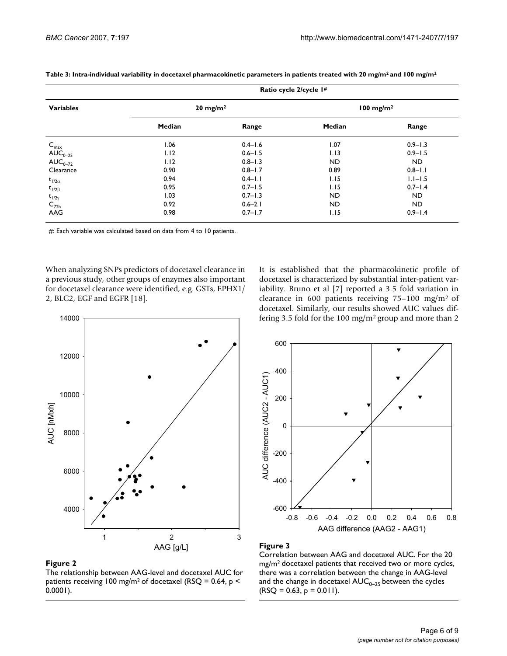| <b>Variables</b>                                                                                        | Ratio cycle 2/cycle I# |             |                         |                |  |
|---------------------------------------------------------------------------------------------------------|------------------------|-------------|-------------------------|----------------|--|
|                                                                                                         | $20 \text{ mg/m}^2$    |             | $100$ mg/m <sup>2</sup> |                |  |
|                                                                                                         | Median                 | Range       | Median                  | Range          |  |
|                                                                                                         | 1.06                   | $0.4 - 1.6$ | 1.07                    | $0.9 - 1.3$    |  |
| $\begin{array}{l} C_{\text{max}} \\ \text{AUC}_{0\text{--}25} \\ \text{AUC}_{0\text{--}72} \end{array}$ | 1.12                   | $0.6 - 1.5$ | 1.13                    | $0.9 - 1.5$    |  |
|                                                                                                         | 1.12                   | $0.8 - 1.3$ | <b>ND</b>               | N <sub>D</sub> |  |
| Clearance                                                                                               | 0.90                   | $0.8 - 1.7$ | 0.89                    | $0.8 - 1.1$    |  |
| $t_{1/2\alpha}$                                                                                         | 0.94                   | $0.4 - 1.1$ | 1.15                    | $1.1 - 1.5$    |  |
| $t_{1/2\beta}$                                                                                          | 0.95                   | $0.7 - 1.5$ | 1.15                    | $0.7 - 1.4$    |  |
| $t_{1/2\gamma}$                                                                                         | 1.03                   | $0.7 - 1.3$ | ND                      | ND.            |  |
|                                                                                                         | 0.92                   | $0.6 - 2.1$ | <b>ND</b>               | ND.            |  |
| $C_{72h}$<br>AAG                                                                                        | 0.98                   | $0.7 - 1.7$ | 1.15                    | $0.9 - 1.4$    |  |

**Table 3: Intra-individual variability in docetaxel pharmacokinetic parameters in patients treated with 20 mg/m2 and 100 mg/m2**

#: Each variable was calculated based on data from 4 to 10 patients.

When analyzing SNPs predictors of docetaxel clearance in a previous study, other groups of enzymes also important for docetaxel clearance were identified, e.g. GSTs, EPHX1/ 2, BLC2, EGF and EGFR [18].





#### Figure 2

The relationship between AAG-level and docetaxel AUC for patients receiving 100 mg/m<sup>2</sup> of docetaxel (RSQ = 0.64,  $p$  < 0.0001).



# **Figure 3**

Correlation between AAG and docetaxel AUC. For the 20 mg/m2 docetaxel patients that received two or more cycles, there was a correlation between the change in AAG-level and the change in docetaxel  $AUC_{0-25}$  between the cycles  $(RSQ = 0.63, p = 0.011).$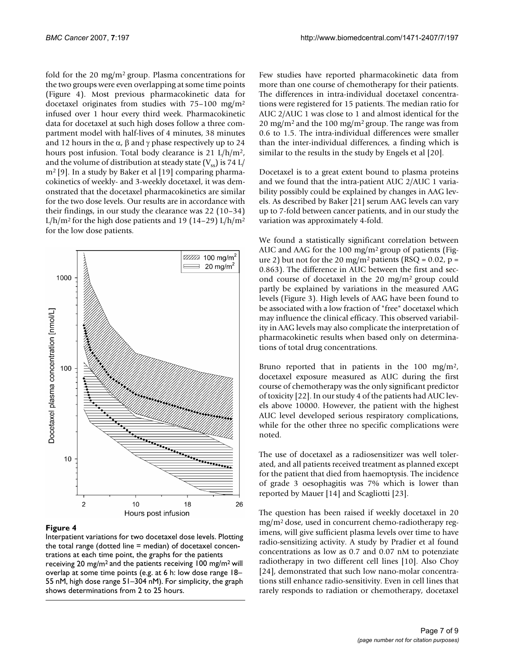fold for the 20 mg/m2 group. Plasma concentrations for the two groups were even overlapping at some time points (Figure 4). Most previous pharmacokinetic data for docetaxel originates from studies with 75–100 mg/m2 infused over 1 hour every third week. Pharmacokinetic data for docetaxel at such high doses follow a three compartment model with half-lives of 4 minutes, 38 minutes and 12 hours in the  $\alpha$ ,  $\beta$  and  $\gamma$  phase respectively up to 24 hours post infusion. Total body clearance is 21 L/h/m2, and the volume of distribution at steady state  $(V_{ss})$  is 74 L/ m<sup>2</sup> [9]. In a study by Baker et al [19] comparing pharmacokinetics of weekly- and 3-weekly docetaxel, it was demonstrated that the docetaxel pharmacokinetics are similar for the two dose levels. Our results are in accordance with their findings, in our study the clearance was 22 (10–34) L/h/m<sup>2</sup> for the high dose patients and 19 (14-29) L/h/m<sup>2</sup> for the low dose patients.



#### Figure 4

Interpatient variations for two docetaxel dose levels. Plotting the total range (dotted line = median) of docetaxel concentrations at each time point, the graphs for the patients receiving 20 mg/m2 and the patients receiving 100 mg/m2 will overlap at some time points (e.g. at 6 h: low dose range 18– 55 nM, high dose range 51–304 nM). For simplicity, the graph shows determinations from 2 to 25 hours.

Few studies have reported pharmacokinetic data from more than one course of chemotherapy for their patients. The differences in intra-individual docetaxel concentrations were registered for 15 patients. The median ratio for AUC 2/AUC 1 was close to 1 and almost identical for the 20 mg/m<sup>2</sup> and the 100 mg/m<sup>2</sup> group. The range was from 0.6 to 1.5. The intra-individual differences were smaller than the inter-individual differences, a finding which is similar to the results in the study by Engels et al [20].

Docetaxel is to a great extent bound to plasma proteins and we found that the intra-patient AUC 2/AUC 1 variability possibly could be explained by changes in AAG levels. As described by Baker [21] serum AAG levels can vary up to 7-fold between cancer patients, and in our study the variation was approximately 4-fold.

We found a statistically significant correlation between AUC and AAG for the 100 mg/m2 group of patients (Figure 2) but not for the 20 mg/m<sup>2</sup> patients (RSQ =  $0.02$ , p = 0.863). The difference in AUC between the first and second course of docetaxel in the 20 mg/m2 group could partly be explained by variations in the measured AAG levels (Figure 3). High levels of AAG have been found to be associated with a low fraction of "free" docetaxel which may influence the clinical efficacy. This observed variability in AAG levels may also complicate the interpretation of pharmacokinetic results when based only on determinations of total drug concentrations.

Bruno reported that in patients in the 100 mg/m<sup>2</sup>, docetaxel exposure measured as AUC during the first course of chemotherapy was the only significant predictor of toxicity [22]. In our study 4 of the patients had AUC levels above 10000. However, the patient with the highest AUC level developed serious respiratory complications, while for the other three no specific complications were noted.

The use of docetaxel as a radiosensitizer was well tolerated, and all patients received treatment as planned except for the patient that died from haemoptysis. The incidence of grade 3 oesophagitis was 7% which is lower than reported by Mauer [14] and Scagliotti [23].

The question has been raised if weekly docetaxel in 20 mg/m2 dose, used in concurrent chemo-radiotherapy regimens, will give sufficient plasma levels over time to have radio-sensitizing activity. A study by Pradier et al found concentrations as low as 0.7 and 0.07 nM to potenziate radiotherapy in two different cell lines [10]. Also Choy [24], demonstrated that such low nano-molar concentrations still enhance radio-sensitivity. Even in cell lines that rarely responds to radiation or chemotherapy, docetaxel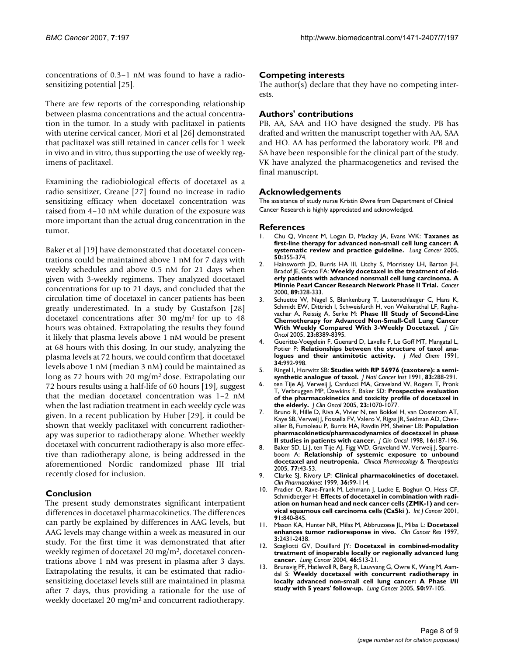concentrations of 0.3–1 nM was found to have a radiosensitizing potential [25].

There are few reports of the corresponding relationship between plasma concentrations and the actual concentration in the tumor. In a study with paclitaxel in patients with uterine cervical cancer, Mori et al [26] demonstrated that paclitaxel was still retained in cancer cells for 1 week in vivo and in vitro, thus supporting the use of weekly regimens of paclitaxel.

Examining the radiobiological effects of docetaxel as a radio sensitizer, Creane [27] found no increase in radio sensitizing efficacy when docetaxel concentration was raised from 4–10 nM while duration of the exposure was more important than the actual drug concentration in the tumor.

Baker et al [19] have demonstrated that docetaxel concentrations could be maintained above 1 nM for 7 days with weekly schedules and above 0.5 nM for 21 days when given with 3-weekly regimens. They analyzed docetaxel concentrations for up to 21 days, and concluded that the circulation time of docetaxel in cancer patients has been greatly underestimated. In a study by Gustafson [28] docetaxel concentrations after 30 mg/m2 for up to 48 hours was obtained. Extrapolating the results they found it likely that plasma levels above 1 nM would be present at 68 hours with this dosing. In our study, analyzing the plasma levels at 72 hours, we could confirm that docetaxel levels above 1 nM (median 3 nM) could be maintained as long as 72 hours with 20 mg/m2 dose. Extrapolating our 72 hours results using a half-life of 60 hours [19], suggest that the median docetaxel concentration was 1–2 nM when the last radiation treatment in each weekly cycle was given. In a recent publication by Huber [29], it could be shown that weekly paclitaxel with concurrent radiotherapy was superior to radiotherapy alone. Whether weekly docetaxel with concurrent radiotherapy is also more effective than radiotherapy alone, is being addressed in the aforementioned Nordic randomized phase III trial recently closed for inclusion.

# **Conclusion**

The present study demonstrates significant interpatient differences in docetaxel pharmacokinetics. The differences can partly be explained by differences in AAG levels, but AAG levels may change within a week as measured in our study. For the first time it was demonstrated that after weekly regimen of docetaxel 20 mg/m2, docetaxel concentrations above 1 nM was present in plasma after 3 days. Extrapolating the results, it can be estimated that radiosensitizing docetaxel levels still are maintained in plasma after 7 days, thus providing a rationale for the use of weekly docetaxel 20 mg/m2 and concurrent radiotherapy.

# **Competing interests**

The author(s) declare that they have no competing interests.

# **Authors' contributions**

PB, AA, SAA and HO have designed the study. PB has drafted and written the manuscript together with AA, SAA and HO. AA has performed the laboratory work. PB and SA have been responsible for the clinical part of the study. VK have analyzed the pharmacogenetics and revised the final manuscript.

### **Acknowledgements**

The assistance of study nurse Kristin Øwre from Department of Clinical Cancer Research is highly appreciated and acknowledged.

#### **References**

- 1. Chu Q, Vincent M, Logan D, Mackay JA, Evans WK: **[Taxanes as](http://www.ncbi.nlm.nih.gov/entrez/query.fcgi?cmd=Retrieve&db=PubMed&dopt=Abstract&list_uids=16139391) [first-line therapy for advanced non-small cell lung cancer: A](http://www.ncbi.nlm.nih.gov/entrez/query.fcgi?cmd=Retrieve&db=PubMed&dopt=Abstract&list_uids=16139391) [systematic review and practice guideline.](http://www.ncbi.nlm.nih.gov/entrez/query.fcgi?cmd=Retrieve&db=PubMed&dopt=Abstract&list_uids=16139391)** *Lung Cancer* 2005, **50:**355-374.
- 2. Hainsworth JD, Burris HA III, Litchy S, Morrissey LH, Barton JH, Bradof **JE, Greco FA: [Weekly docetaxel in the treatment of eld](http://www.ncbi.nlm.nih.gov/entrez/query.fcgi?cmd=Retrieve&db=PubMed&dopt=Abstract&list_uids=10918162)[erly patients with advanced nonsmall cell lung carcinoma. A](http://www.ncbi.nlm.nih.gov/entrez/query.fcgi?cmd=Retrieve&db=PubMed&dopt=Abstract&list_uids=10918162) [Minnie Pearl Cancer Research Network Phase II Trial.](http://www.ncbi.nlm.nih.gov/entrez/query.fcgi?cmd=Retrieve&db=PubMed&dopt=Abstract&list_uids=10918162)** *Cancer* 2000, **89:**328-333.
- 3. Schuette W, Nagel S, Blankenburg T, Lautenschlaeger C, Hans K, Schmidt EW, Dittrich I, Schweisfurth H, von Weikersthal LF, Raghavachar A, Reissig A, Serke M: **[Phase III Study of Second-Line](http://www.ncbi.nlm.nih.gov/entrez/query.fcgi?cmd=Retrieve&db=PubMed&dopt=Abstract&list_uids=16293869) [Chemotherapy for Advanced Non-Small-Cell Lung Cancer](http://www.ncbi.nlm.nih.gov/entrez/query.fcgi?cmd=Retrieve&db=PubMed&dopt=Abstract&list_uids=16293869) [With Weekly Compared With 3-Weekly Docetaxel.](http://www.ncbi.nlm.nih.gov/entrez/query.fcgi?cmd=Retrieve&db=PubMed&dopt=Abstract&list_uids=16293869)** *J Clin Oncol* 2005, **23:**8389-8395.
- 4. Gueritte-Voegelein F, Guenard D, Lavelle F, Le Goff MT, Mangatal L, Potier P: **[Relationships between the structure of taxol ana](http://www.ncbi.nlm.nih.gov/entrez/query.fcgi?cmd=Retrieve&db=PubMed&dopt=Abstract&list_uids=1672159)[logues and their antimitotic activity.](http://www.ncbi.nlm.nih.gov/entrez/query.fcgi?cmd=Retrieve&db=PubMed&dopt=Abstract&list_uids=1672159)** *J Med Chem* 1991, **34:**992-998.
- 5. Ringel I, Horwitz SB: **[Studies with RP 56976 \(taxotere\): a semi](http://www.ncbi.nlm.nih.gov/entrez/query.fcgi?cmd=Retrieve&db=PubMed&dopt=Abstract&list_uids=1671606)[synthetic analogue of taxol.](http://www.ncbi.nlm.nih.gov/entrez/query.fcgi?cmd=Retrieve&db=PubMed&dopt=Abstract&list_uids=1671606)** *J Natl Cancer Inst* 1991, **83:**288-291.
- ten Tije AJ, Verweij J, Carducci MA, Graveland W, Rogers T, Pronk T, Verbruggen MP, Dawkins F, Baker SD: **[Prospective evaluation](http://www.ncbi.nlm.nih.gov/entrez/query.fcgi?cmd=Retrieve&db=PubMed&dopt=Abstract&list_uids=15718305) [of the pharmacokinetics and toxicity profile of docetaxel in](http://www.ncbi.nlm.nih.gov/entrez/query.fcgi?cmd=Retrieve&db=PubMed&dopt=Abstract&list_uids=15718305) [the elderly.](http://www.ncbi.nlm.nih.gov/entrez/query.fcgi?cmd=Retrieve&db=PubMed&dopt=Abstract&list_uids=15718305)** *J Clin Oncol* 2005, **23:**1070-1077.
- 7. Bruno R, Hille D, Riva A, Vivier N, ten Bokkel H, van Oosterom AT, Kaye SB, Verweij J, Fossella FV, Valero V, Rigas JR, Seidman AD, Chevallier B, Fumoleau P, Burris HA, Ravdin PM, Sheiner LB: **[Population](http://www.ncbi.nlm.nih.gov/entrez/query.fcgi?cmd=Retrieve&db=PubMed&dopt=Abstract&list_uids=9440742) [pharmacokinetics/pharmacodynamics of docetaxel in phase](http://www.ncbi.nlm.nih.gov/entrez/query.fcgi?cmd=Retrieve&db=PubMed&dopt=Abstract&list_uids=9440742) [II studies in patients with cancer.](http://www.ncbi.nlm.nih.gov/entrez/query.fcgi?cmd=Retrieve&db=PubMed&dopt=Abstract&list_uids=9440742)** *J Clin Oncol* 1998, **16:**187-196.
- 8. Baker SD, Li J, ten Tije AJ, Figg WD, Graveland W, Verweij J, Sparreboom A: **Relationship of systemic exposure to unbound docetaxel and neutropenia.** *Clinical Pharmacology & Therapeutics* 2005, **77:**43-53.
- 9. Clarke SJ, Rivory LP: **[Clinical pharmacokinetics of docetaxel.](http://www.ncbi.nlm.nih.gov/entrez/query.fcgi?cmd=Retrieve&db=PubMed&dopt=Abstract&list_uids=10092957)** *Clin Pharmacokinet* 1999, **36:**99-114.
- 10. Pradier O, Rave-Frank M, Lehmann J, Lucke E, Boghun O, Hess CF, Schmidberger H: **[Effects of docetaxel in combination with radi](http://www.ncbi.nlm.nih.gov/entrez/query.fcgi?cmd=Retrieve&db=PubMed&dopt=Abstract&list_uids=11275989)[ation on human head and neck cancer cells \(ZMK-1\) and cer](http://www.ncbi.nlm.nih.gov/entrez/query.fcgi?cmd=Retrieve&db=PubMed&dopt=Abstract&list_uids=11275989)[vical squamous cell carcinoma cells \(CaSki \).](http://www.ncbi.nlm.nih.gov/entrez/query.fcgi?cmd=Retrieve&db=PubMed&dopt=Abstract&list_uids=11275989)** *Int J Cancer* 2001, **91:**840-845.
- 11. Mason KA, Hunter NR, Milas M, Abbruzzese JL, Milas L: **[Docetaxel](http://www.ncbi.nlm.nih.gov/entrez/query.fcgi?cmd=Retrieve&db=PubMed&dopt=Abstract&list_uids=9815644) [enhances tumor radioresponse in vivo.](http://www.ncbi.nlm.nih.gov/entrez/query.fcgi?cmd=Retrieve&db=PubMed&dopt=Abstract&list_uids=9815644)** *Clin Cancer Res* 1997, **3:**2431-2438.
- 12. Scagliotti GV, Douillard JY: **[Docetaxel in combined-modality](http://www.ncbi.nlm.nih.gov/entrez/query.fcgi?cmd=Retrieve&db=PubMed&dopt=Abstract&list_uids=15698527) [treatment of inoperable locally or regionally advanced lung](http://www.ncbi.nlm.nih.gov/entrez/query.fcgi?cmd=Retrieve&db=PubMed&dopt=Abstract&list_uids=15698527) [cancer.](http://www.ncbi.nlm.nih.gov/entrez/query.fcgi?cmd=Retrieve&db=PubMed&dopt=Abstract&list_uids=15698527)** *Lung Cancer* 2004, **46:**S13-21.
- 13. Brunsvig PF, Hatlevoll R, Berg R, Lauvvang G, Owre K, Wang M, Aamdal S: **[Weekly docetaxel with concurrent radiotherapy in](http://www.ncbi.nlm.nih.gov/entrez/query.fcgi?cmd=Retrieve&db=PubMed&dopt=Abstract&list_uids=16005105) [locally advanced non-small cell lung cancer: A Phase I/II](http://www.ncbi.nlm.nih.gov/entrez/query.fcgi?cmd=Retrieve&db=PubMed&dopt=Abstract&list_uids=16005105) [study with 5 years' follow-up.](http://www.ncbi.nlm.nih.gov/entrez/query.fcgi?cmd=Retrieve&db=PubMed&dopt=Abstract&list_uids=16005105)** *Lung Cancer* 2005, **50:**97-105.